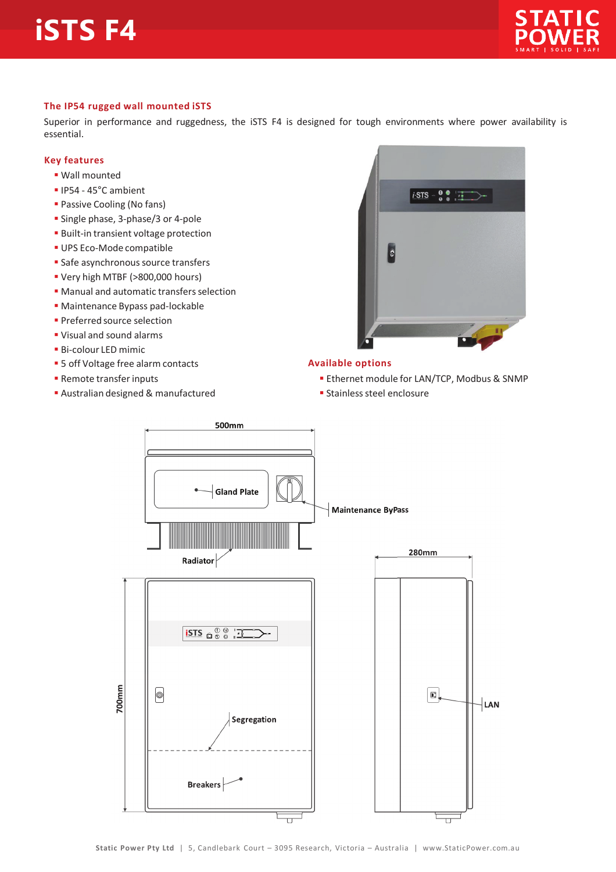# **iSTS F4**



### **The IP54 rugged wall mounted iSTS**

Superior in performance and ruggedness, the iSTS F4 is designed for tough environments where power availability is essential.

#### **Key features**

- ß Wall mounted
- $\blacksquare$  IP54 45°C ambient
- **Passive Cooling (No fans)**
- **Single phase, 3-phase/3 or 4-pole**
- **Built-in transient voltage protection**
- **UPS Eco-Mode compatible**
- **Safe asynchronous source transfers**
- ß Very high MTBF (>800,000 hours)
- **Manual and automatic transfers selection**
- **Maintenance Bypass pad-lockable**
- **Preferred source selection**
- ß Visual and sound alarms
- **Bi-colour LED mimic**
- **5 off Voltage free alarm contacts**
- **Remote transfer inputs**
- **Australian designed & manufactured**



## **Available options**

- **Ethernet module for LAN/TCP, Modbus & SNMP**
- **Stainless steel enclosure**